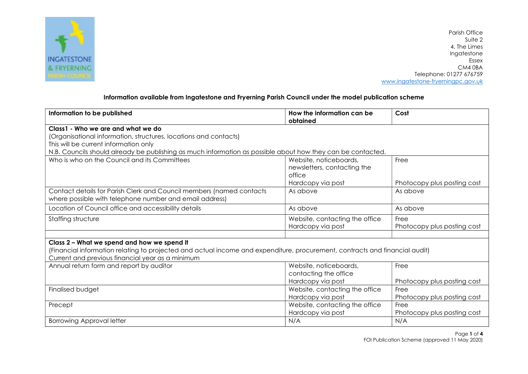

Parish Office Suite 2 4, The Limes Ingatestone Essex CM4 0BA Telephone: 01277 676759 www.ingatestone-fryerningpc.gov.uk

## Information available from Ingatestone and Fryerning Parish Council under the model publication scheme

| Information to be published                                                                                                                                                                                                                                    | How the information can be<br>obtained                                               | Cost                                |  |
|----------------------------------------------------------------------------------------------------------------------------------------------------------------------------------------------------------------------------------------------------------------|--------------------------------------------------------------------------------------|-------------------------------------|--|
| Class1 - Who we are and what we do<br>(Organisational information, structures, locations and contacts)<br>This will be current information only<br>N.B. Councils should already be publishing as much information as possible about how they can be contacted. |                                                                                      |                                     |  |
| Who is who on the Council and its Committees                                                                                                                                                                                                                   | Website, noticeboards,<br>newsletters, contacting the<br>office<br>Hardcopy via post | Free<br>Photocopy plus posting cost |  |
| Contact details for Parish Clerk and Council members (named contacts<br>where possible with telephone number and email address)                                                                                                                                | As above                                                                             | As above                            |  |
| Location of Council office and accessibility details                                                                                                                                                                                                           | As above                                                                             | As above                            |  |
| Staffing structure                                                                                                                                                                                                                                             | Website, contacting the office<br>Hardcopy via post                                  | Free<br>Photocopy plus posting cost |  |
| Class 2 - What we spend and how we spend it<br>(Financial information relating to projected and actual income and expenditure, procurement, contracts and financial audit)<br>Current and previous financial year as a minimum                                 |                                                                                      |                                     |  |
| Annual return form and report by auditor                                                                                                                                                                                                                       | Website, noticeboards,<br>contacting the office<br>Hardcopy via post                 | Free<br>Photocopy plus posting cost |  |
| Finalised budget                                                                                                                                                                                                                                               | Website, contacting the office<br>Hardcopy via post                                  | Free<br>Photocopy plus posting cost |  |
| Precept                                                                                                                                                                                                                                                        | Website, contacting the office<br>Hardcopy via post                                  | Free<br>Photocopy plus posting cost |  |
| <b>Borrowing Approval letter</b>                                                                                                                                                                                                                               | N/A                                                                                  | N/A                                 |  |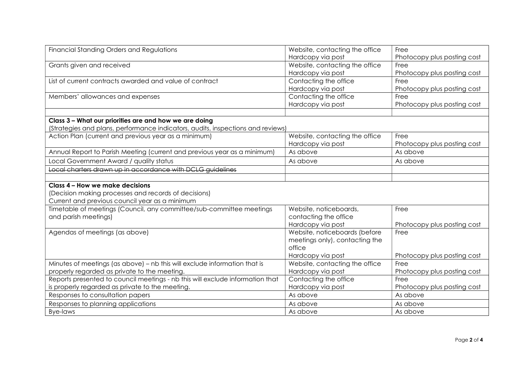| Financial Standing Orders and Regulations                                       | Website, contacting the office | Free                        |
|---------------------------------------------------------------------------------|--------------------------------|-----------------------------|
|                                                                                 | Hardcopy via post              | Photocopy plus posting cost |
| Grants given and received                                                       | Website, contacting the office | Free                        |
|                                                                                 | Hardcopy via post              | Photocopy plus posting cost |
| List of current contracts awarded and value of contract                         | Contacting the office          | Free                        |
|                                                                                 | Hardcopy via post              | Photocopy plus posting cost |
| Members' allowances and expenses                                                | Contacting the office          | Free                        |
|                                                                                 | Hardcopy via post              | Photocopy plus posting cost |
|                                                                                 |                                |                             |
| Class 3 - What our priorities are and how we are doing                          |                                |                             |
| (Strategies and plans, performance indicators, audits, inspections and reviews) |                                |                             |
| Action Plan (current and previous year as a minimum)                            | Website, contacting the office | Free                        |
|                                                                                 | Hardcopy via post              | Photocopy plus posting cost |
| Annual Report to Parish Meeting (current and previous year as a minimum)        | As above                       | As above                    |
| Local Government Award / quality status                                         | As above                       | As above                    |
| Local charters drawn up in accordance with DCLG quidelines                      |                                |                             |
|                                                                                 |                                |                             |
| Class 4 - How we make decisions                                                 |                                |                             |
| (Decision making processes and records of decisions)                            |                                |                             |
| Current and previous council year as a minimum                                  |                                |                             |
| Timetable of meetings (Council, any committee/sub-committee meetings            | Website, noticeboards,         | Free                        |
| and parish meetings)                                                            | contacting the office          |                             |
|                                                                                 | Hardcopy via post              | Photocopy plus posting cost |
| Agendas of meetings (as above)                                                  | Website, noticeboards (before  | Free                        |
|                                                                                 | meetings only), contacting the |                             |
|                                                                                 | office                         |                             |
|                                                                                 | Hardcopy via post              | Photocopy plus posting cost |
| Minutes of meetings (as above) – nb this will exclude information that is       | Website, contacting the office | Free                        |
| properly regarded as private to the meeting.                                    | Hardcopy via post              | Photocopy plus posting cost |
| Reports presented to council meetings - nb this will exclude information that   | Contacting the office          | Free                        |
| is properly regarded as private to the meeting                                  | Hardcopy via post              | Photocopy plus posting cost |
| Responses to consultation papers                                                | As above                       | As above                    |
| Responses to planning applications                                              | As above                       | As above                    |
| <b>Bye-laws</b>                                                                 | As above                       | As above                    |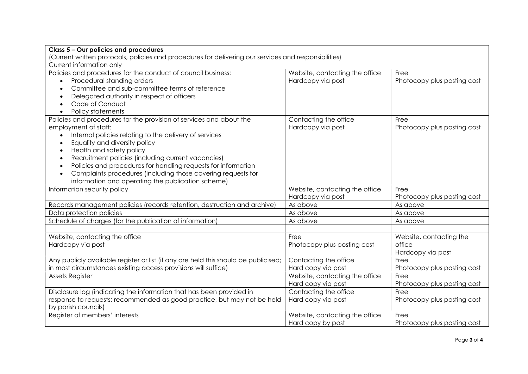| Class 5 - Our policies and procedures                                                                 |                                |                             |  |
|-------------------------------------------------------------------------------------------------------|--------------------------------|-----------------------------|--|
| (Current written protocols, policies and procedures for delivering our services and responsibilities) |                                |                             |  |
| Current information only                                                                              |                                |                             |  |
| Policies and procedures for the conduct of council business:                                          | Website, contacting the office | Free                        |  |
| Procedural standing orders                                                                            | Hardcopy via post              | Photocopy plus posting cost |  |
| Committee and sub-committee terms of reference                                                        |                                |                             |  |
| Delegated authority in respect of officers                                                            |                                |                             |  |
| Code of Conduct<br>$\bullet$                                                                          |                                |                             |  |
| Policy statements<br>$\bullet$                                                                        |                                |                             |  |
| Policies and procedures for the provision of services and about the                                   | Contacting the office          | Free                        |  |
| employment of staff:                                                                                  | Hardcopy via post              | Photocopy plus posting cost |  |
| Internal policies relating to the delivery of services                                                |                                |                             |  |
| Equality and diversity policy                                                                         |                                |                             |  |
| Health and safety policy<br>$\bullet$                                                                 |                                |                             |  |
| Recruitment policies (including current vacancies)<br>$\bullet$                                       |                                |                             |  |
| Policies and procedures for handling requests for information<br>$\bullet$                            |                                |                             |  |
| Complaints procedures (including those covering requests for                                          |                                |                             |  |
| information and operating the publication scheme)                                                     |                                |                             |  |
| Information security policy                                                                           | Website, contacting the office | Free                        |  |
|                                                                                                       | Hardcopy via post              | Photocopy plus posting cost |  |
| Records management policies (records retention, destruction and archive)                              | As above                       | As above                    |  |
| Data protection policies                                                                              | As above                       | As above                    |  |
| Schedule of charges (for the publication of information)                                              | As above                       | As above                    |  |
|                                                                                                       |                                |                             |  |
| Website, contacting the office                                                                        | Free                           | Website, contacting the     |  |
| Hardcopy via post                                                                                     | Photocopy plus posting cost    | office                      |  |
|                                                                                                       |                                | Hardcopy via post           |  |
| Any publicly available register or list (if any are held this should be publicised;                   | Contacting the office          | Free                        |  |
| in most circumstances existing access provisions will suffice)                                        | Hard copy via post             | Photocopy plus posting cost |  |
| <b>Assets Register</b>                                                                                | Website, contacting the office | Free                        |  |
|                                                                                                       | Hard copy via post             | Photocopy plus posting cost |  |
| Disclosure log (indicating the information that has been provided in                                  | Contacting the office          | Free                        |  |
| response to requests; recommended as good practice, but may not be held                               | Hard copy via post             | Photocopy plus posting cost |  |
| by parish councils)                                                                                   |                                |                             |  |
| Register of members' interests                                                                        | Website, contacting the office | Free                        |  |
|                                                                                                       | Hard copy by post              | Photocopy plus posting cost |  |